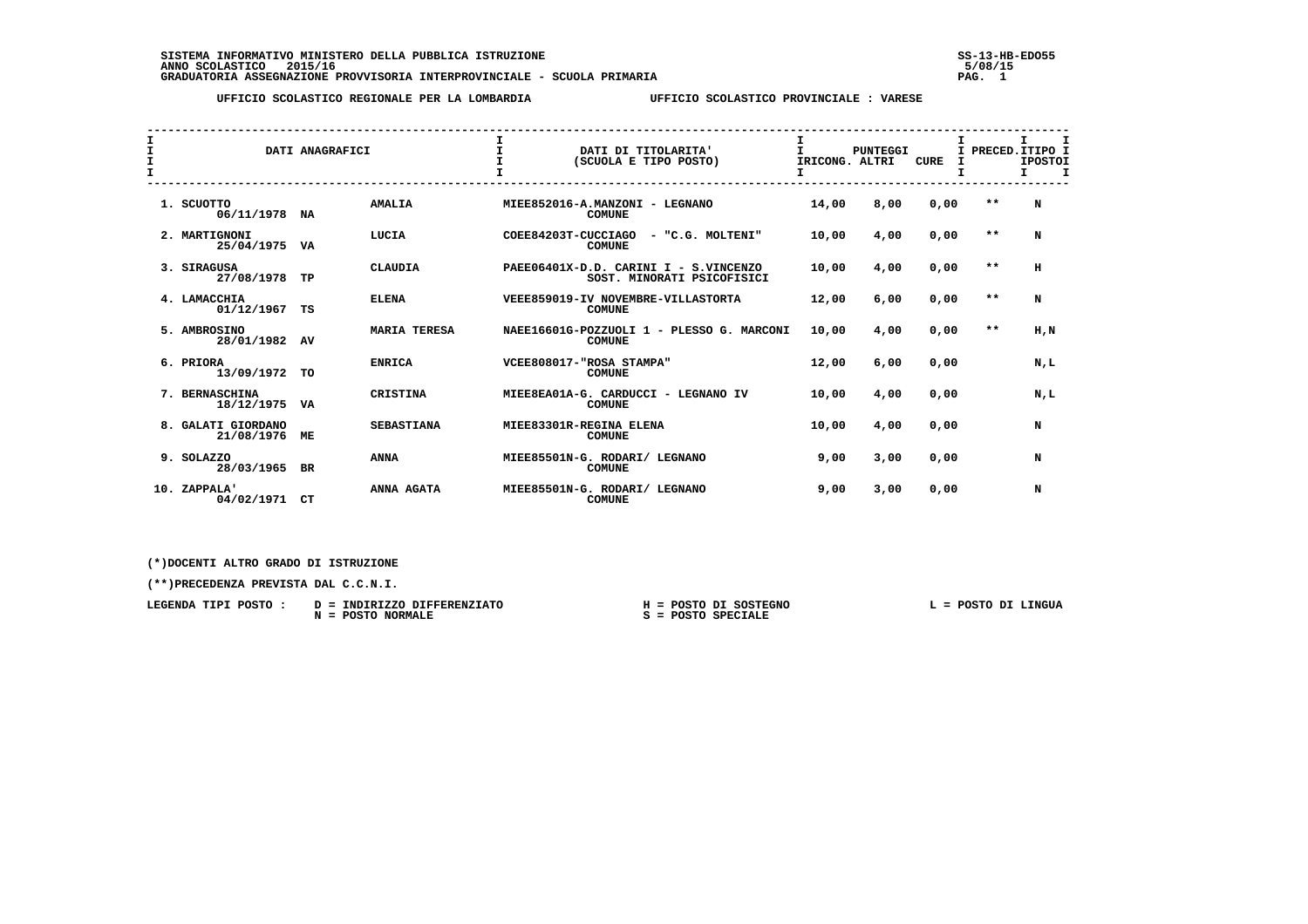SISTEMA INFORMATIVO MINISTERO DELLA PUBBLICA ISTRUZIONE<br>ANNO SCOLASTICO 2015/16<br>GRADUATORIA ASSEGNAZIONE PROVVISORIA INTERPROVINCIALE - SCUOLA PRIMARIA 1980 PROVISORIA INTERPROVISORIA INTERP

 **UFFICIO SCOLASTICO REGIONALE PER LA LOMBARDIA UFFICIO SCOLASTICO PROVINCIALE : VARESE**

| I<br>I<br>I<br>$\mathbf{I}$ |  | DATI ANAGRAFICI                  |           | $\mathbf{I}$<br>$\mathbf{T}$<br>$\mathbf{T}$ | DATI DI TITOLARITA'<br>(SCUOLA E TIPO POSTO) | I<br>т.<br>IRICONG. ALTRI                                           | <b>PUNTEGGI</b> | <b>CURE</b> | I    |  | I.<br>I PRECED. ITIPO I<br><b>IPOSTOI</b><br>т. | I<br>I    |  |
|-----------------------------|--|----------------------------------|-----------|----------------------------------------------|----------------------------------------------|---------------------------------------------------------------------|-----------------|-------------|------|--|-------------------------------------------------|-----------|--|
|                             |  | 1. SCUOTTO<br>06/11/1978 NA      |           | <b>AMALIA</b>                                |                                              | MIEE852016-A.MANZONI - LEGNANO<br><b>COMUNE</b>                     | 14,00           | 8,00        | 0,00 |  | $* *$                                           | N         |  |
|                             |  | 2. MARTIGNONI<br>25/04/1975      | VA        | LUCIA                                        | COEE84203T-CUCCIAGO                          | - "C.G. MOLTENI"<br><b>COMUNE</b>                                   | 10,00           | 4,00        | 0,00 |  | $* *$                                           | N         |  |
|                             |  | 3. SIRAGUSA<br>27/08/1978        | TP        | <b>CLAUDIA</b>                               |                                              | PAEE06401X-D.D. CARINI I - S.VINCENZO<br>SOST. MINORATI PSICOFISICI | 10,00           | 4,00        | 0,00 |  | $* *$                                           | н         |  |
|                             |  | 4. LAMACCHIA<br>01/12/1967       | TS        | <b>ELENA</b>                                 |                                              | VEEE859019-IV NOVEMBRE-VILLASTORTA<br><b>COMUNE</b>                 | 12,00           | 6,00        | 0,00 |  | $* *$                                           | N         |  |
|                             |  | 5. AMBROSINO<br>28/01/1982       | AV        | <b>MARIA TERESA</b>                          |                                              | NAEE16601G-POZZUOLI 1 - PLESSO G. MARCONI<br><b>COMUNE</b>          | 10,00           | 4,00        | 0,00 |  | $\star$ $\star$                                 | $H$ , $N$ |  |
|                             |  | 6. PRIORA<br>13/09/1972          | <b>TO</b> | <b>ENRICA</b>                                |                                              | VCEE808017-"ROSA STAMPA"<br><b>COMUNE</b>                           | 12,00           | 6,00        | 0,00 |  |                                                 | N,L       |  |
|                             |  | 7. BERNASCHINA<br>18/12/1975     | VA        | CRISTINA                                     |                                              | MIEE8EA01A-G. CARDUCCI - LEGNANO IV<br><b>COMUNE</b>                | 10,00           | 4,00        | 0,00 |  |                                                 | N,L       |  |
|                             |  | 8. GALATI GIORDANO<br>21/08/1976 | МE        | <b>SEBASTIANA</b>                            |                                              | MIEE83301R-REGINA ELENA<br><b>COMUNE</b>                            | 10,00           | 4,00        | 0,00 |  |                                                 | N         |  |
|                             |  | 9. SOLAZZO<br>28/03/1965         | BR        | <b>ANNA</b>                                  | MIEE85501N-G. RODARI/                        | <b>LEGNANO</b><br><b>COMUNE</b>                                     | 9,00            | 3,00        | 0,00 |  |                                                 | N         |  |
|                             |  | 10. ZAPPALA'<br>04/02/1971       | CТ        | ANNA AGATA                                   | MIEE85501N-G. RODARI/                        | <b>LEGNANO</b><br><b>COMUNE</b>                                     | 9,00            | 3,00        | 0,00 |  |                                                 | N         |  |

 **(\*)DOCENTI ALTRO GRADO DI ISTRUZIONE**

 **(\*\*)PRECEDENZA PREVISTA DAL C.C.N.I.**

| LEGENDA TIPI POSTO : | D = INDIRIZZO DIFFERENZIATO   | H = POSTO DI SOSTEGNO | L = POSTO DI LINGUA |
|----------------------|-------------------------------|-----------------------|---------------------|
|                      | <b>POSTO NORMALE</b><br>$N =$ | S = POSTO SPECIALE    |                     |